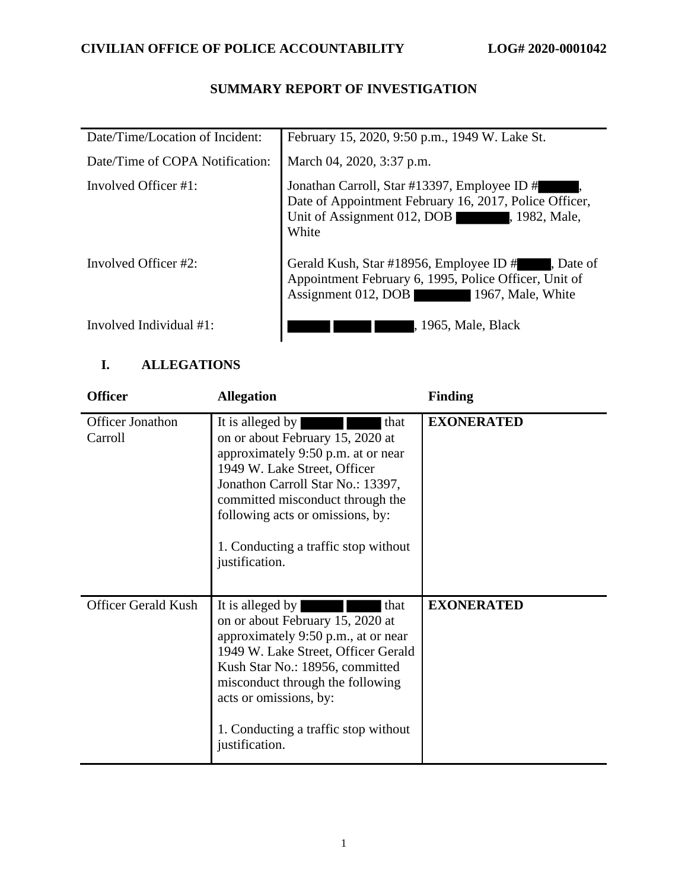## **SUMMARY REPORT OF INVESTIGATION**

| Date/Time/Location of Incident: | February 15, 2020, 9:50 p.m., 1949 W. Lake St.                                                                                                                  |
|---------------------------------|-----------------------------------------------------------------------------------------------------------------------------------------------------------------|
| Date/Time of COPA Notification: | March 04, 2020, 3:37 p.m.                                                                                                                                       |
| Involved Officer $#1$ :         | Jonathan Carroll, Star #13397, Employee ID #<br>Date of Appointment February 16, 2017, Police Officer,<br>Unit of Assignment 012, DOB<br>, 1982, Male,<br>White |
| Involved Officer #2:            | Gerald Kush, Star #18956, Employee ID #<br>, Date of<br>Appointment February 6, 1995, Police Officer, Unit of<br>Assignment 012, DOB<br>1967, Male, White       |
| Involved Individual #1:         | , 1965, Male, Black                                                                                                                                             |

### **I. ALLEGATIONS**

| <b>Officer</b>                     | <b>Allegation</b>                                                                                                                                                                                                                                                                                         | <b>Finding</b>    |
|------------------------------------|-----------------------------------------------------------------------------------------------------------------------------------------------------------------------------------------------------------------------------------------------------------------------------------------------------------|-------------------|
| <b>Officer Jonathon</b><br>Carroll | It is alleged by<br>that<br>on or about February 15, 2020 at<br>approximately 9:50 p.m. at or near<br>1949 W. Lake Street, Officer<br>Jonathon Carroll Star No.: 13397,<br>committed misconduct through the<br>following acts or omissions, by:<br>1. Conducting a traffic stop without<br>justification. | <b>EXONERATED</b> |
| <b>Officer Gerald Kush</b>         | It is alleged by<br>that<br>on or about February 15, 2020 at<br>approximately 9:50 p.m., at or near<br>1949 W. Lake Street, Officer Gerald<br>Kush Star No.: 18956, committed<br>misconduct through the following<br>acts or omissions, by:<br>1. Conducting a traffic stop without<br>justification.     | <b>EXONERATED</b> |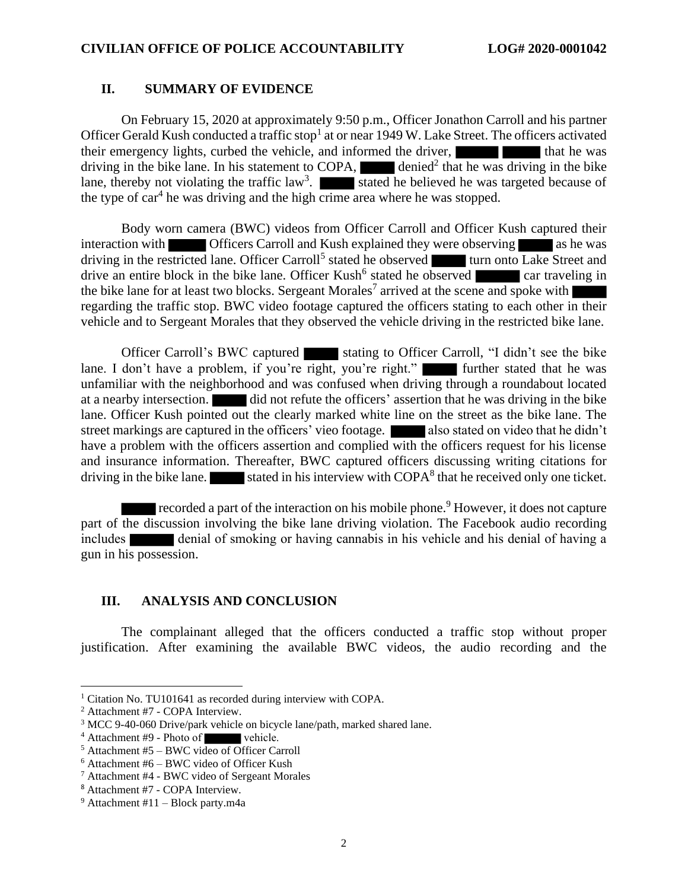#### **II. SUMMARY OF EVIDENCE**

On February 15, 2020 at approximately 9:50 p.m., Officer Jonathon Carroll and his partner Officer Gerald Kush conducted a traffic stop<sup>1</sup> at or near 1949 W. Lake Street. The officers activated their emergency lights, curbed the vehicle, and informed the driver, that he was driving in the bike lane. In his statement to COPA,  $\Box$  denied<sup>2</sup> that he was driving in the bike lane, thereby not violating the traffic law<sup>3</sup>. Stated he believed he was targeted because of the type of car<sup>4</sup> he was driving and the high crime area where he was stopped.

Body worn camera (BWC) videos from Officer Carroll and Officer Kush captured their interaction with **Officers Carroll and Kush explained they were observing** as he was driving in the restricted lane. Officer Carroll<sup>5</sup> stated he observed turn onto Lake Street and drive an entire block in the bike lane. Officer Kush<sup>6</sup> stated he observed car traveling in the bike lane for at least two blocks. Sergeant Morales<sup>7</sup> arrived at the scene and spoke with regarding the traffic stop. BWC video footage captured the officers stating to each other in their vehicle and to Sergeant Morales that they observed the vehicle driving in the restricted bike lane.

Officer Carroll's BWC captured stating to Officer Carroll, "I didn't see the bike lane. I don't have a problem, if you're right, you're right." I further stated that he was unfamiliar with the neighborhood and was confused when driving through a roundabout located at a nearby intersection. did not refute the officers' assertion that he was driving in the bike lane. Officer Kush pointed out the clearly marked white line on the street as the bike lane. The street markings are captured in the officers' vieo footage. **Also stated on video that he didn't** have a problem with the officers assertion and complied with the officers request for his license and insurance information. Thereafter, BWC captured officers discussing writing citations for driving in the bike lane. stated in his interview with  $\text{COPA}^8$  that he received only one ticket.

recorded a part of the interaction on his mobile phone.<sup>9</sup> However, it does not capture part of the discussion involving the bike lane driving violation. The Facebook audio recording includes denial of smoking or having cannabis in his vehicle and his denial of having a gun in his possession.

#### **III. ANALYSIS AND CONCLUSION**

The complainant alleged that the officers conducted a traffic stop without proper justification. After examining the available BWC videos, the audio recording and the

<sup>&</sup>lt;sup>1</sup> Citation No. TU101641 as recorded during interview with COPA.

<sup>2</sup> Attachment #7 - COPA Interview.

<sup>&</sup>lt;sup>3</sup> MCC 9-40-060 Drive/park vehicle on bicycle lane/path, marked shared lane.

<sup>&</sup>lt;sup>4</sup> Attachment #9 - Photo of vehicle.

<sup>5</sup> Attachment #5 – BWC video of Officer Carroll

 $6$  Attachment #6 – BWC video of Officer Kush

<sup>7</sup> Attachment #4 - BWC video of Sergeant Morales

<sup>8</sup> Attachment #7 - COPA Interview.

 $9$  Attachment #11 – Block party.m4a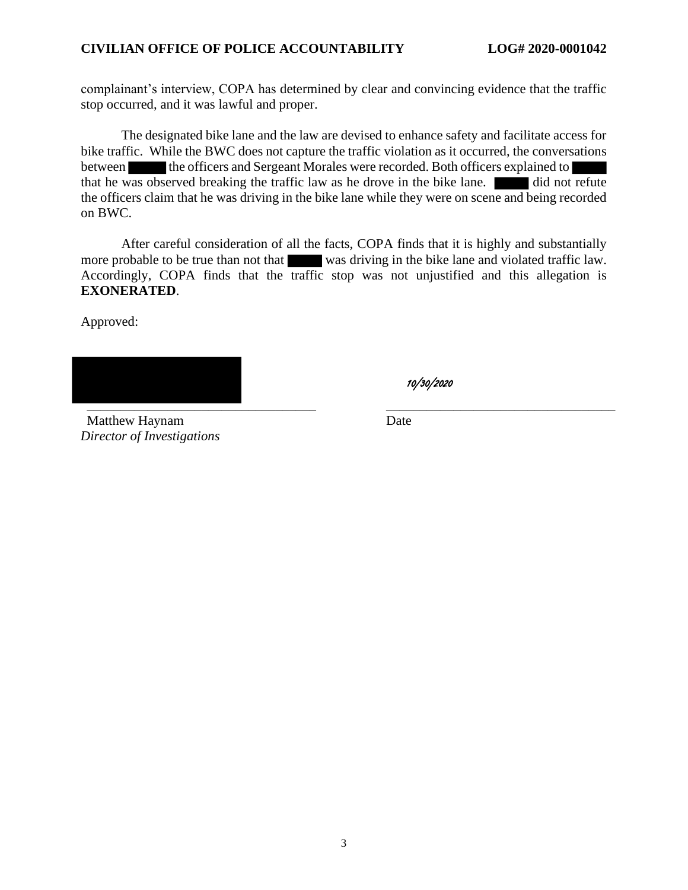complainant's interview, COPA has determined by clear and convincing evidence that the traffic stop occurred, and it was lawful and proper.

The designated bike lane and the law are devised to enhance safety and facilitate access for bike traffic. While the BWC does not capture the traffic violation as it occurred, the conversations between the officers and Sergeant Morales were recorded. Both officers explained to that he was observed breaking the traffic law as he drove in the bike lane. did not refute the officers claim that he was driving in the bike lane while they were on scene and being recorded on BWC.

After careful consideration of all the facts, COPA finds that it is highly and substantially more probable to be true than not that was driving in the bike lane and violated traffic law. Accordingly, COPA finds that the traffic stop was not unjustified and this allegation is **EXONERATED**.

Approved:

\_\_\_\_\_\_\_\_\_\_\_\_\_\_\_\_\_\_\_\_\_\_\_\_\_\_\_\_\_\_\_\_\_\_ \_\_\_\_\_\_\_\_\_\_\_\_\_\_\_\_\_\_\_\_\_\_\_\_\_\_\_\_\_\_\_\_\_\_

Matthew Haynam *Director of Investigations* Date

10/30/2020